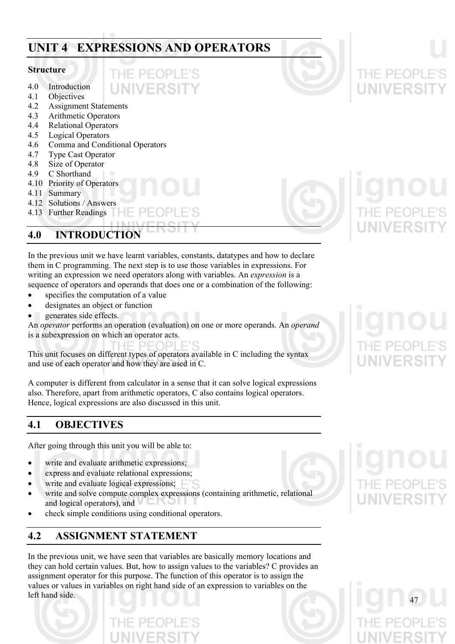# **UNIT 4 EXPRESSIONS AND OPERATORS**

THE PEOPI **UNIVERSIT** 

### **Structure**

- 4.0 Introduction
- 4.1 Objectives
- 4.2 Assignment Statements
- 4.3 Arithmetic Operators
- 4.4 Relational Operators
- 4.5 Logical Operators
- 4.6 Comma and Conditional Operators
- 4.7 Type Cast Operator
- 4.8 Size of Operator
- 4.9 C Shorthand
- 4.10 Priority of Operators
- 4.11 Summary
- 4.12 Solutions / Answers
- 4.13 Further Readings

# **4.0 INTRODUCTION**

In the previous unit we have learnt variables, constants, datatypes and how to declare them in C programming. The next step is to use those variables in expressions. For writing an expression we need operators along with variables. An *expression* is a sequence of operators and operands that does one or a combination of the following:

- specifies the computation of a value
- designates an object or function
- generates side effects.

An *operator* performs an operation (evaluation) on one or more operands. An *operand* is a subexpression on which an operator acts.

 $PIC1$ 

This unit focuses on different types of operators available in C including the syntax and use of each operator and how they are used in C.

A computer is different from calculator in a sense that it can solve logical expressions also. Therefore, apart from arithmetic operators, C also contains logical operators. Hence, logical expressions are also discussed in this unit.

# **4.1 OBJECTIVES**

After going through this unit you will be able to:

- write and evaluate arithmetic expressions;
- express and evaluate relational expressions;
- write and evaluate logical expressions;
- write and solve compute complex expressions (containing arithmetic, relational and logical operators), and
- check simple conditions using conditional operators.

# **4.2 ASSIGNMENT STATEMENT**

In the previous unit, we have seen that variables are basically memory locations and they can hold certain values. But, how to assign values to the variables? C provides an assignment operator for this purpose. The function of this operator is to assign the values or values in variables on right hand side of an expression to variables on the left hand side.



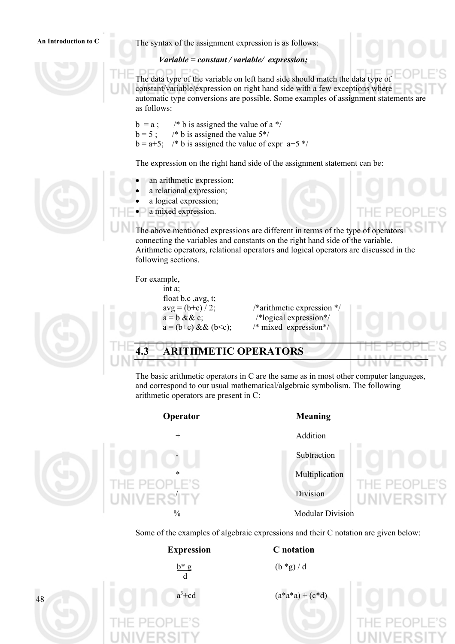An Introduction to C **The syntax of the assignment expression is as follows:** 

 *Variable = constant / variable/ expression;* 

The data type of the variable on left hand side should match the data type of constant/variable/expression on right hand side with a few exceptions where automatic type conversions are possible. Some examples of assignment statements are as follows:

 $b = a$ ; /\* b is assigned the value of a \*/  $b = 5$ ; /\* b is assigned the value 5\*/  $b = a+5$ ; /\* b is assigned the value of expr  $a+5$  \*/

The expression on the right hand side of the assignment statement can be:

- an arithmetic expression:
- a relational expression;
- a logical expression;
- a mixed expression.

The above mentioned expressions are different in terms of the type of operators connecting the variables and constants on the right hand side of the variable. Arithmetic operators, relational operators and logical operators are discussed in the following sections.

For example,

int a;

float b,c ,avg, t;



# $a = (b+c) \&& (b \le c);$  /\* mixed expression\*/ **4.3 ARITHMETIC OPERATORS**

 $avg = (b+c)/2$ ; /\*arithmetic expression \*/  $a = b \&c$  /\*logical expression\*/

The basic arithmetic operators in C are the same as in most other computer languages, and correspond to our usual mathematical/algebraic symbolism. The following arithmetic operators are present in C:



### **Operator** Meaning



Some of the examples of algebraic expressions and their C notation are given below:

## **Expression C notation**

 $b * g$  (b  $* g$ ) / d





 $(a^*a^*a) + (c^*d)$ 

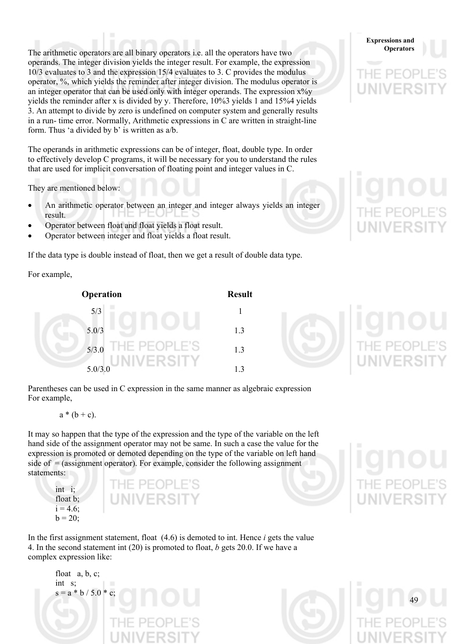The arithmetic operators are all binary operators i.e. all the operators have two **Operators** operands. The integer division yields the integer result. For example, the expression 10/3 evaluates to 3 and the expression 15/4 evaluates to 3. C provides the modulus operator, %, which yields the reminder after integer division. The modulus operator is an integer operator that can be used only with integer operands. The expression  $x\%y$ yields the reminder after x is divided by y. Therefore, 10%3 yields 1 and 15%4 yields 3. An attempt to divide by zero is undefined on computer system and generally results in a run- time error. Normally, Arithmetic expressions in C are written in straight-line form. Thus 'a divided by b' is written as a/b.

The operands in arithmetic expressions can be of integer, float, double type. In order to effectively develop C programs, it will be necessary for you to understand the rules that are used for implicit conversation of floating point and integer values in C.

They are mentioned below:

- An arithmetic operator between an integer and integer always yields an integer result.
- Operator between float and float yields a float result.
- Operator between integer and float yields a float result.

If the data type is double instead of float, then we get a result of double data type.

For example,



Parentheses can be used in C expression in the same manner as algebraic expression For example,

 $a * (b + c)$ .

It may so happen that the type of the expression and the type of the variable on the left hand side of the assignment operator may not be same. In such a case the value for the expression is promoted or demoted depending on the type of the variable on left hand side of  $=$  (assignment operator). For example, consider the following assignment statements:

 int i; float b;  $i = 4.6$ ;  $b = 20$ ;



**Expressions and** 

In the first assignment statement, float (4.6) is demoted to int. Hence *i* gets the value 4. In the second statement int (20) is promoted to float, *b* gets 20.0. If we have a complex expression like:

float a, b, c; int s;  $s = a * b / 5.0$ 

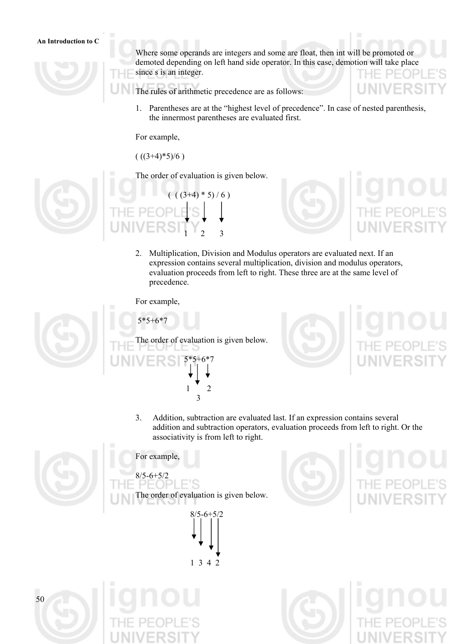### **An Introduction to C**

Where some operands are integers and some are float, then int will be promoted or demoted depending on left hand side operator. In this case, demotion will take place since s is an integer. PFOP

The rules of arithmetic precedence are as follows:

1. Parentheses are at the "highest level of precedence". In case of nested parenthesis, the innermost parentheses are evaluated first.

For example,

 $((3+4)*5)/6)$ 

The order of evaluation is given below.







2. Multiplication, Division and Modulus operators are evaluated next. If an expression contains several multiplication, division and modulus operators, evaluation proceeds from left to right. These three are at the same level of

For example,

 $5*5+6*7$ 

precedence.

The order of evaluation is given below.  $5*5+6*7$  1 2 3



3. Addition, subtraction are evaluated last. If an expression contains several addition and subtraction operators, evaluation proceeds from left to right. Or the associativity is from left to right.

For example,

 $8/5 - 6 + 5/2$ 

The order of evaluation is given below.





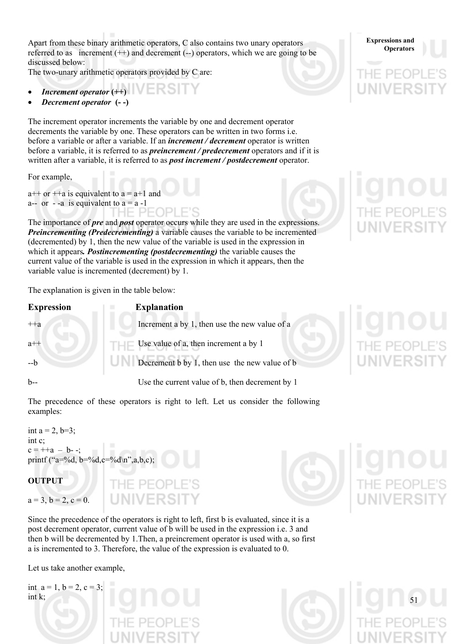Apart from these binary arithmetic operators, C also contains two unary operators **Expressions and** Operators referred to as increment  $(++)$  and decrement  $(-)$  operators, which we are going to be discussed below:

The two-unary arithmetic operators provided by C are:

- *Increment operator* **(++)**
- *Decrement operator* **(- -)**

The increment operator increments the variable by one and decrement operator decrements the variable by one. These operators can be written in two forms i.e. before a variable or after a variable. If an *increment / decrement* operator is written before a variable, it is referred to as *preincrement / predecrement* operators and if it is written after a variable, it is referred to as *post increment / postdecrement* operator.

For example,

 $a++$  or  $a++$  is equivalent to  $a = a+1$  and a-- or - -a is equivalent to  $a = a -1$ HE

The importance of *pre* and *post* operator occurs while they are used in the expressions. *Preincrementing (Predecrementing)* a variable causes the variable to be incremented (decremented) by 1, then the new value of the variable is used in the expression in which it appears*. Postincrementing (postdecrementing)* the variable causes the current value of the variable is used in the expression in which it appears, then the variable value is incremented (decrement) by 1.

The explanation is given in the table below:

| <b>Expression</b> | <b>Explanation</b>                               |
|-------------------|--------------------------------------------------|
| $+ +a$            | Increment a by 1, then use the new value of a    |
| $a++$             | <b>THE</b> Use value of a, then increment a by 1 |
| $-b$              | Decrement b by 1, then use the new value of b    |
| $b-$              | Use the current value of b, then decrement by 1  |

The precedence of these operators is right to left. Let us consider the following examples:

int  $a = 2, b=3;$ int c;  $c = ++a - b -$ ; printf ("a=%d, b=%d, c=%d\n", a, b, c); **OUTPUT**  THE PEC  $a = 3$ ,  $b = 2$ ,  $c = 0$ .

Since the precedence of the operators is right to left, first b is evaluated, since it is a post decrement operator, current value of b will be used in the expression i.e. 3 and then b will be decremented by 1.Then, a preincrement operator is used with a, so first a is incremented to 3. Therefore, the value of the expression is evaluated to 0.

Let us take another example,





**Expressions and** 



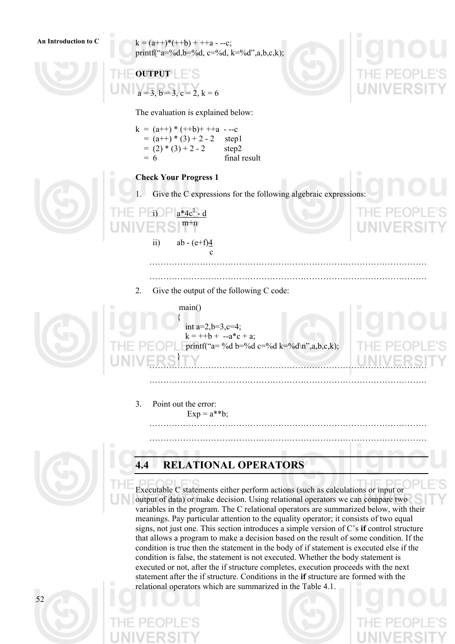**An Introduction to C**  $k = (a++)*(++b) + ++a - -c;$ printf("a=%d,b=%d, c=%d, k=%d",a,b,c,k);

# **OUTPUT**   $= 3, b = 3, c = 2, k = 6$

The evaluation is explained below:

 $k = (a++) * (++b) + ++a - -c$  $= (a++) * (3) + 2 - 2$  step1  $= (2) * (3) + 2 - 2$  step2  $= 6$  final result

- d

### **Check Your Progress 1**

1. Give the C expressions for the following algebraic expressions:



## ……………………………………………………………………………………… ………………………………………………………………………………………

2. Give the output of the following C code:



 main() int  $a=2.b=3.c=4$ ;  $k = ++b + -a$ <sup>\*</sup>c + a; printf("a= %d b=%d c=%d k=%d\n",a,b,c,k); ………………………………………………………………………………………

3. Point out the error:

 $Exp = a**b;$ ………………………………………………………………………………………



# **4.4 RELATIONAL OPERATORS**

Executable C statements either perform actions (such as calculations or input or output of data) or make decision. Using relational operators we can compare two variables in the program. The C relational operators are summarized below, with their meanings. Pay particular attention to the equality operator; it consists of two equal signs, not just one. This section introduces a simple version of C's **if** control structure that allows a program to make a decision based on the result of some condition. If the condition is true then the statement in the body of if statement is executed else if the condition is false, the statement is not executed. Whether the body statement is executed or not, after the if structure completes, execution proceeds with the next statement after the if structure. Conditions in the **if** structure are formed with the relational operators which are summarized in the Table 4.1.

………………………………………………………………………………………

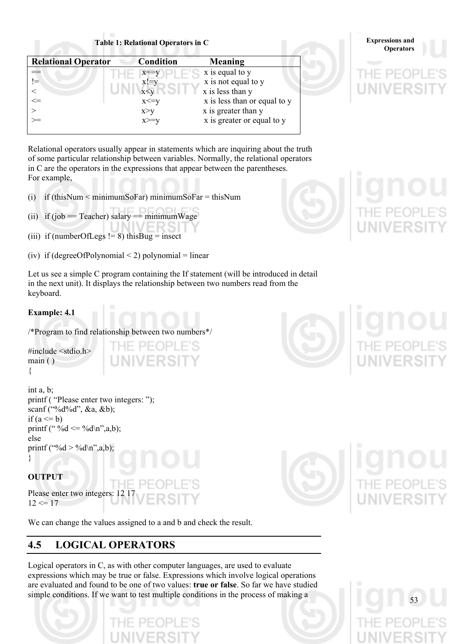Table 1: Relational Operators in C<br>
Operators C<br>
Operators

| <b>Relational Operator</b> | <b>Condition</b> | Meaning                      |
|----------------------------|------------------|------------------------------|
| ==                         | $X = Y$          | x is equal to y              |
| $=$                        | $x!=y$           | x is not equal to y          |
|                            | x < y            | x is less than y             |
| $\leq$                     | $x \le y$        | x is less than or equal to y |
|                            | x>y              | x is greater than y          |
| $>=$                       | $x>=v$           | x is greater or equal to y   |
|                            |                  |                              |

Relational operators usually appear in statements which are inquiring about the truth of some particular relationship between variables. Normally, the relational operators in C are the operators in the expressions that appear between the parentheses. For example,

- (i) if (thisNum < minimumSoFar) minimumSoFar = thisNum
- (ii) if (job == Teacher) salary == minimumWage
- (iii) if (numberOfLegs  $!= 8$ ) thisBug = insect
- (iv) if (degreeOfPolynomial  $\leq$  2) polynomial = linear

Let us see a simple C program containing the If statement (will be introduced in detail in the next unit). It displays the relationship between two numbers read from the keyboard.

## **Example: 4.1**

/\*Program to find relationship between two numbers\*/

#include <stdio.h> main ( ) {

int a, b; printf ( "Please enter two integers: "); scanf ("%d%d", &a, &b); if  $(a \leq b)$ printf (" $\%$ d <=  $\%$ d\n",a,b); else printf ("%d > %d\n",a,b); }

## **OUTPUT**

Please enter two integers: 12 17  $12 \leq 17$ 

We can change the values assigned to a and b and check the result.

# **4.5 LOGICAL OPERATORS**

Logical operators in C, as with other computer languages, are used to evaluate expressions which may be true or false. Expressions which involve logical operations are evaluated and found to be one of two values: **true or false**. So far we have studied simple conditions. If we want to test multiple conditions in the process of making a





**Expressions and** 



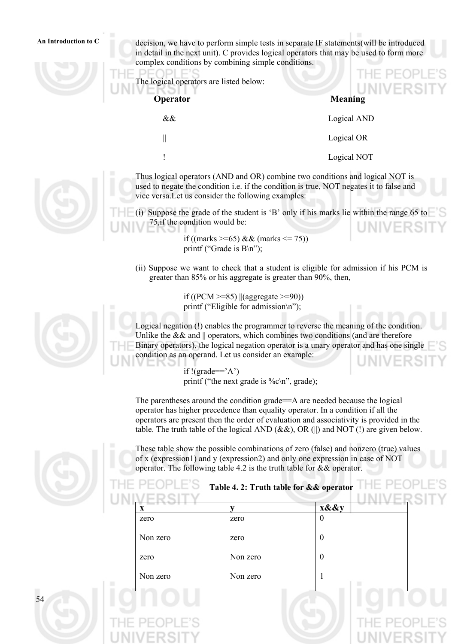**An Introduction to C** decision, we have to perform simple tests in separate IF statements(will be introduced in detail in the next unit). C provides logical operators that may be used to form more complex conditions by combining simple conditions.

The logical operators are listed below:

G Z

| <b>Operator</b> | ROH<br><b>Meaning</b> |
|-----------------|-----------------------|
| &&              | Logical AND           |
| Ш               | Logical OR            |
|                 | Logical NOT           |
|                 |                       |

Thus logical operators (AND and OR) combine two conditions and logical NOT is used to negate the condition i.e. if the condition is true, NOT negates it to false and vice versa.Let us consider the following examples:

(i) Suppose the grade of the student is 'B' only if his marks lie within the range 65 to 75,if the condition would be:

> if ((marks  $>= 65$ ) && (marks  $\leq 75$ )) printf ("Grade is B\n");

(ii) Suppose we want to check that a student is eligible for admission if his PCM is greater than 85% or his aggregate is greater than 90%, then,

> if ((PCM  $>= 85$ ) ||(aggregate  $>= 90$ )) printf ("Eligible for admission\n");

Logical negation (!) enables the programmer to reverse the meaning of the condition. Unlike the  $&\&$  and  $\parallel$  operators, which combines two conditions (and are therefore Binary operators), the logical negation operator is a unary operator and has one single condition as an operand. Let us consider an example:

> if  $!(\text{grade}=='A')$ printf ("the next grade is  $\%c\$  n", grade);

The parentheses around the condition grade==A are needed because the logical operator has higher precedence than equality operator. In a condition if all the operators are present then the order of evaluation and associativity is provided in the table. The truth table of the logical AND  $(\&\&)$ , OR (||) and NOT (!) are given below.

These table show the possible combinations of zero (false) and nonzero (true) values of x (expression1) and y (expression2) and only one expression in case of NOT operator. The following table 4.2 is the truth table for && operator.

| Table 4. 2: Truth table for & & operator |          |                  |  |
|------------------------------------------|----------|------------------|--|
| X                                        | v        | x&&y             |  |
| zero                                     | zero     | 0                |  |
| Non zero                                 | zero     | $\boldsymbol{0}$ |  |
| zero                                     | Non zero | $\theta$         |  |
| Non zero                                 | Non zero |                  |  |



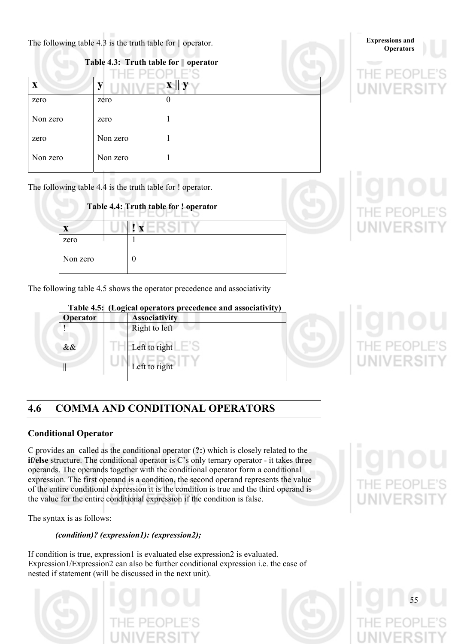The following table 4.3 is the truth table for  $\parallel$  operator.

| Table 4.3: Truth table for $\parallel$ operator |          |          |
|-------------------------------------------------|----------|----------|
| X                                               |          |          |
| zero                                            | zero     | $\theta$ |
| Non zero                                        | zero     |          |
| zero                                            | Non zero |          |
| Non zero                                        | Non zero |          |

The following table 4.4 is the truth table for ! operator.



**Expressions and** 

The following table 4.5 shows the operator precedence and associativity



# **4.6 COMMA AND CONDITIONAL OPERATORS**

## **Conditional Operator**

C provides an called as the conditional operator (**?:**) which is closely related to the **if/else** structure. The conditional operator is C's only ternary operator - it takes three operands. The operands together with the conditional operator form a conditional expression. The first operand is a condition, the second operand represents the value of the entire conditional expression it is the condition is true and the third operand is the value for the entire conditional expression if the condition is false.

The syntax is as follows:

*(condition)? (expression1): (expression2);* 

If condition is true, expression1 is evaluated else expression2 is evaluated. Expression1/Expression2 can also be further conditional expression i.e. the case of nested if statement (will be discussed in the next unit).



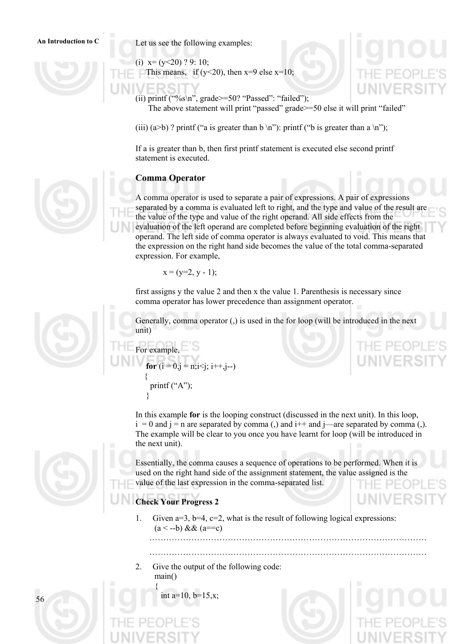**An Introduction to C** Let us see the following examples:

(i)  $x=(y<20)$  ? 9: 10;

- This means, if (y<20), then  $x=9$  else  $x=10$ ;
- (ii) printf ("%s\n", grade>=50? "Passed": "failed"); The above statement will print "passed" grade>=50 else it will print "failed"
- (iii) (a>b) ? printf ("a is greater than b \n"): printf ("b is greater than a \n");

If a is greater than b, then first printf statement is executed else second printf statement is executed.

### **Comma Operator**

A comma operator is used to separate a pair of expressions. A pair of expressions separated by a comma is evaluated left to right, and the type and value of the result are the value of the type and value of the right operand. All side effects from the evaluation of the left operand are completed before beginning evaluation of the right operand. The left side of comma operator is always evaluated to void. This means that the expression on the right hand side becomes the value of the total comma-separated expression. For example,

$$
x = (y=2, y-1);
$$

first assigns y the value 2 and then x the value 1. Parenthesis is necessary since comma operator has lower precedence than assignment operator.

Generally, comma operator (,) is used in the for loop (will be introduced in the next unit)

For example,  
\n
$$
\begin{aligned}\n\text{for (i = 0, j = n; i < j; i++)-)} \\
\{\n\text{printf ("A");}\n\}\n\end{aligned}
$$

In this example **for** is the looping construct (discussed in the next unit). In this loop,  $i = 0$  and  $j = n$  are separated by comma (,) and  $i++$  and  $j$ —are separated by comma (,). The example will be clear to you once you have learnt for loop (will be introduced in the next unit).

Essentially, the comma causes a sequence of operations to be performed. When it is used on the right hand side of the assignment statement, the value assigned is the value of the last expression in the comma-separated list.

### **Check Your Progress 2**

1. Given  $a=3$ ,  $b=4$ ,  $c=2$ , what is the result of following logical expressions:  $(a < -b)$  & &  $(a == c)$ 

……………………………………………………………………………………… ………………………………………………………………………………………

2. Give the output of the following code: main()

int a=10,  $b=15, x$ ;

 $\left\{ \begin{array}{c} \end{array} \right.$ 







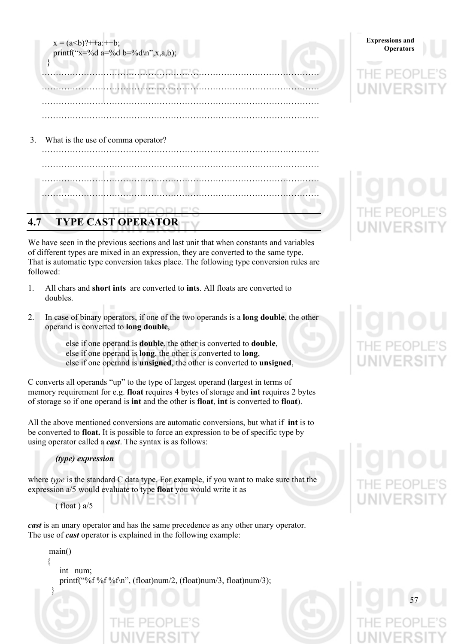| <b>Expressions and</b><br><b>Operators</b> |
|--------------------------------------------|
|                                            |
|                                            |
|                                            |
|                                            |
|                                            |
|                                            |
|                                            |
|                                            |

3. What is the use of comma operator?

……………………………………………………………………………………… ……………………………………………………………………………………… ………………………………………………………………………………………

# **4.7 TYPE CAST OPERATOR**

We have seen in the previous sections and last unit that when constants and variables of different types are mixed in an expression, they are converted to the same type. That is automatic type conversion takes place. The following type conversion rules are followed:

- 1. All chars and **short ints** are converted to **ints**. All floats are converted to doubles.
- 2. In case of binary operators, if one of the two operands is a **long double**, the other operand is converted to **long double**,

 else if one operand is **double**, the other is converted to **double**, else if one operand is **long**, the other is converted to **long**, else if one operand is **unsigned**, the other is converted to **unsigned**,

C converts all operands "up" to the type of largest operand (largest in terms of memory requirement for e.g. **float** requires 4 bytes of storage and **int** requires 2 bytes of storage so if one operand is **int** and the other is **float**, **int** is converted to **float**).

All the above mentioned conversions are automatic conversions, but what if **int** is to be converted to **float.** It is possible to force an expression to be of specific type by using operator called a *cast*. The syntax is as follows:

## *(type) expression*

where *type* is the standard C data type. For example, if you want to make sure that the expression a/5 would evaluate to type **float** you would write it as

(di

 $($  float  $)$  a/5

*cast* is an unary operator and has the same precedence as any other unary operator. The use of *cast* operator is explained in the following example:

```
 main() 
\left\{\begin{array}{c} \end{array}\right\} int num; 
               printf("%f %f %f\n", (float)num/2, (float)num/3, float)num/3);
\left\{\begin{array}{c} \end{array}\right\}
```
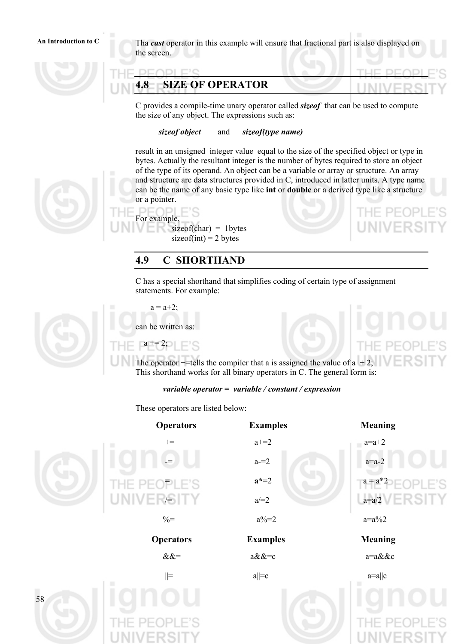**An Introduction to C** Tha *cast* operator in this example will ensure that fractional part is also displayed on the screen.

# **4.8 SIZE OF OPERATOR**

DIEC

C provides a compile-time unary operator called *sizeof* that can be used to compute the size of any object. The expressions such as:

*sizeof object* and *sizeof(type name)*

result in an unsigned integer value equal to the size of the specified object or type in bytes. Actually the resultant integer is the number of bytes required to store an object of the type of its operand. An object can be a variable or array or structure. An array and structure are data structures provided in C, introduced in latter units. A type name can be the name of any basic type like **int** or **double** or a derived type like a structure or a pointer.



For example,  $sizeof(char) = 1$  bytes  $sizeof(int) = 2 bytes$ 

## **4.9 C SHORTHAND**

C has a special shorthand that simplifies coding of certain type of assignment statements. For example:



 $a = a + 2$ 

can be written as:

 $a \neq 2;$ 

The operator +=tells the compiler that a is assigned the value of  $a + 2$ ; This shorthand works for all binary operators in C. The general form is:

 *variable operator = variable / constant / expression* 

These operators are listed below:

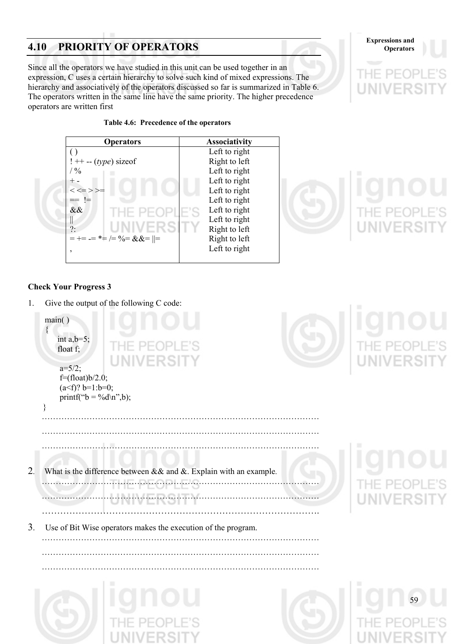# **4.10 PRIORITY OF OPERATORS**

Since all the operators we have studied in this unit can be used together in an expression, C uses a certain hierarchy to solve such kind of mixed expressions. The hierarchy and associatively of the operators discussed so far is summarized in Table 6. The operators written in the same line have the same priority. The higher precedence operators are written first

### **Table 4.6: Precedence of the operators**



### **Check Your Progress 3**

1. Give the output of the following C code:

|                | $\frac{1}{2}$ of $\frac{1}{2}$ of the following $\frac{1}{2}$ code.                                                                                 |                  |
|----------------|-----------------------------------------------------------------------------------------------------------------------------------------------------|------------------|
|                | main()<br>int $a,b=5$ ;<br>float f;<br>UNIVERSITY<br>$a=5/2;$<br>$f=(f$ loat) $b/2.0$ ;<br>$(a< f)$ ? b=1:b=0;<br>printf(" $b = \%d\langle n", b);$ | $-1$<br>UNIVERSI |
|                |                                                                                                                                                     |                  |
|                |                                                                                                                                                     |                  |
|                |                                                                                                                                                     |                  |
| 2.             | What is the difference between $& \&$ and $&$ . Explain with an example.                                                                            |                  |
|                | PEOPLE'S<br>$\mathbb{R}^n$<br>Arlakelan                                                                                                             | / E I            |
| 3 <sub>1</sub> | Use of Bit Wise operators makes the execution of the program.                                                                                       |                  |
|                |                                                                                                                                                     |                  |
|                |                                                                                                                                                     |                  |
|                |                                                                                                                                                     |                  |
|                |                                                                                                                                                     |                  |
|                |                                                                                                                                                     |                  |
|                |                                                                                                                                                     | 59               |



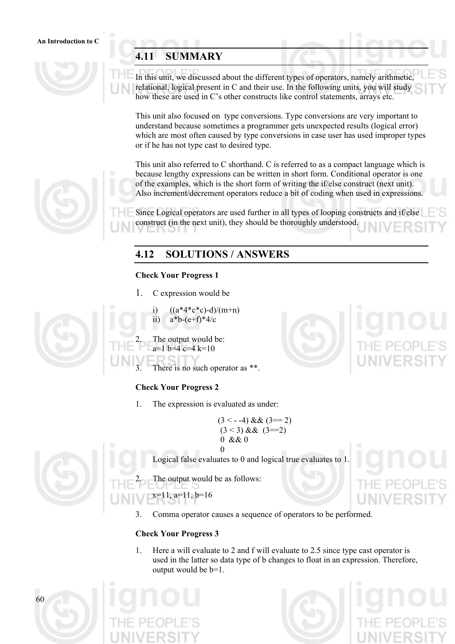# **4.11 SUMMARY**

In this unit, we discussed about the different types of operators, namely arithmetic, relational, logical present in C and their use. In the following units, you will study how these are used in C's other constructs like control statements, arrays etc.

This unit also focused on type conversions. Type conversions are very important to understand because sometimes a programmer gets unexpected results (logical error) which are most often caused by type conversions in case user has used improper types or if he has not type cast to desired type.

This unit also referred to C shorthand. C is referred to as a compact language which is because lengthy expressions can be written in short form. Conditional operator is one of the examples, which is the short form of writing the if/else construct (next unit). Also increment/decrement operators reduce a bit of coding when used in expressions.

Since Logical operators are used further in all types of looping constructs and if/else construct (in the next unit), they should be thoroughly understood.

# **4.12 SOLUTIONS / ANSWERS**

### **Check Your Progress 1**

- 1. C expression would be
	- i)  $((a^*4^*c^*c)-d)/(m+n)$
	- ii)  $a^*b-(e+f)^*4/c$

The output would be:  $a=1$  b=4 c=4 k=10

There is no such operator as  $**$ .

### **Check Your Progress 2**

1. The expression is evaluated as under:

$$
(3 < -4) && (3 == 2) \n(3 < 3) && (3 == 2) \n0 && & 0 \n0
$$

Logical false evaluates to 0 and logical true evaluates to 1.

- The output would be as follows:
- 3. Comma operator causes a sequence of operators to be performed.

### **Check Your Progress 3**

x=11, a=11, b=16

1. Here a will evaluate to 2 and f will evaluate to 2.5 since type cast operator is used in the latter so data type of b changes to float in an expression. Therefore, output would be b=1.